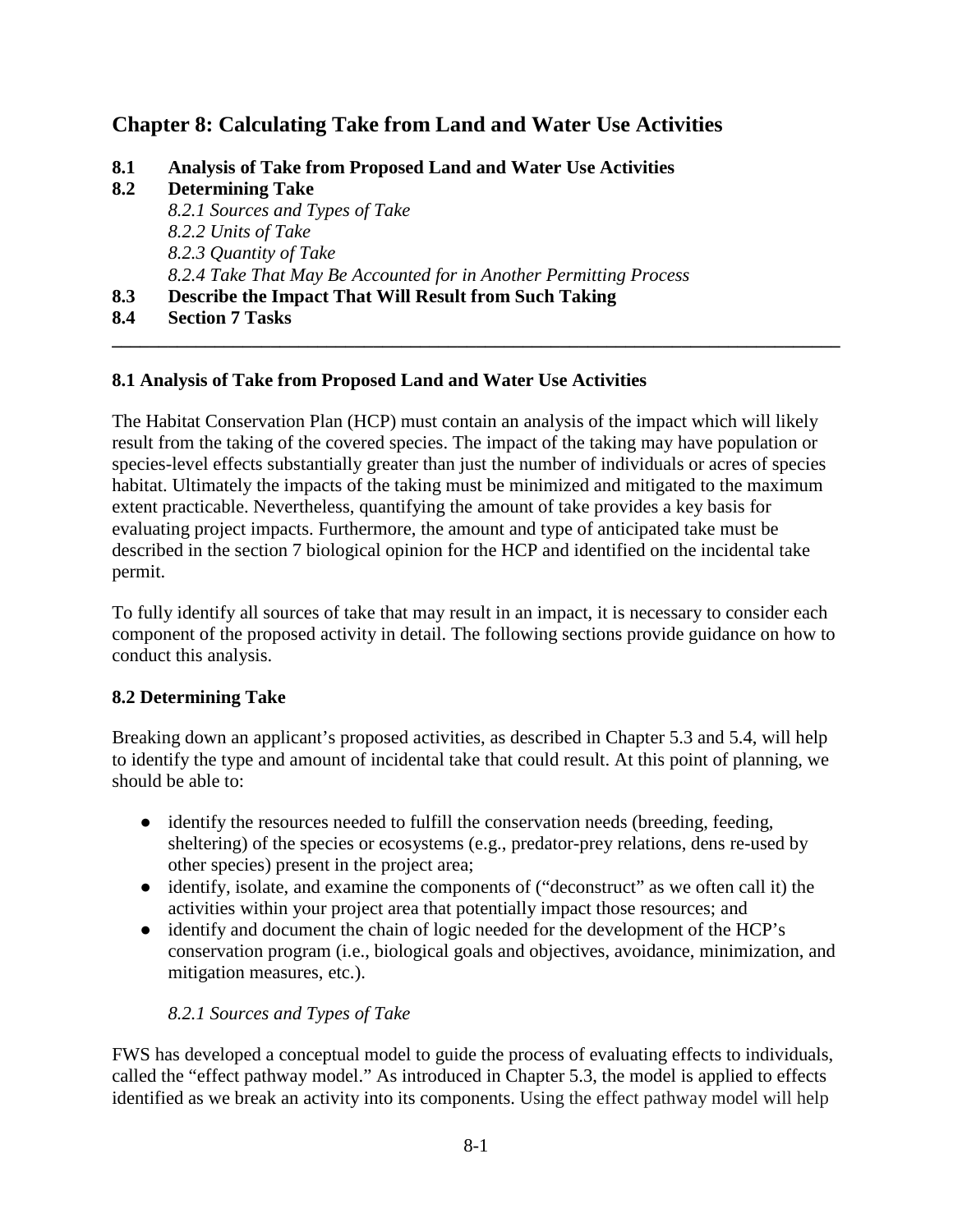# **Chapter 8: Calculating Take from Land and Water Use Activities**

- **8.1 Analysis of Take from Proposed Land and Water Use Activities**
- **8.2 Determining Take**
	- *8.2.1 Sources and Types of Take 8.2.2 Units of Take 8.2.3 Quantity of Take 8.2.4 Take That May Be Accounted for in Another Permitting Process*
- **8.3 Describe the Impact That Will Result from Such Taking**
- **8.4 Section 7 Tasks**

### **8.1 Analysis of Take from Proposed Land and Water Use Activities**

The Habitat Conservation Plan (HCP) must contain an analysis of the impact which will likely result from the taking of the covered species. The impact of the taking may have population or species-level effects substantially greater than just the number of individuals or acres of species habitat. Ultimately the impacts of the taking must be minimized and mitigated to the maximum extent practicable. Nevertheless, quantifying the amount of take provides a key basis for evaluating project impacts. Furthermore, the amount and type of anticipated take must be described in the section 7 biological opinion for the HCP and identified on the incidental take permit.

**\_\_\_\_\_\_\_\_\_\_\_\_\_\_\_\_\_\_\_\_\_\_\_\_\_\_\_\_\_\_\_\_\_\_\_\_\_\_\_\_\_\_\_\_\_\_\_\_\_\_\_\_\_\_\_\_\_\_\_\_\_\_\_\_\_\_\_\_\_\_\_\_\_\_\_\_\_\_**

To fully identify all sources of take that may result in an impact, it is necessary to consider each component of the proposed activity in detail. The following sections provide guidance on how to conduct this analysis.

#### **8.2 Determining Take**

Breaking down an applicant's proposed activities, as described in Chapter 5.3 and 5.4, will help to identify the type and amount of incidental take that could result. At this point of planning, we should be able to:

- identify the resources needed to fulfill the conservation needs (breeding, feeding, sheltering) of the species or ecosystems (e.g., predator-prey relations, dens re-used by other species) present in the project area;
- identify, isolate, and examine the components of ("deconstruct" as we often call it) the activities within your project area that potentially impact those resources; and
- identify and document the chain of logic needed for the development of the HCP's conservation program (i.e., biological goals and objectives, avoidance, minimization, and mitigation measures, etc.).

## *8.2.1 Sources and Types of Take*

FWS has developed a conceptual model to guide the process of evaluating effects to individuals, called the "effect pathway model." As introduced in Chapter 5.3, the model is applied to effects identified as we break an activity into its components. Using the effect pathway model will help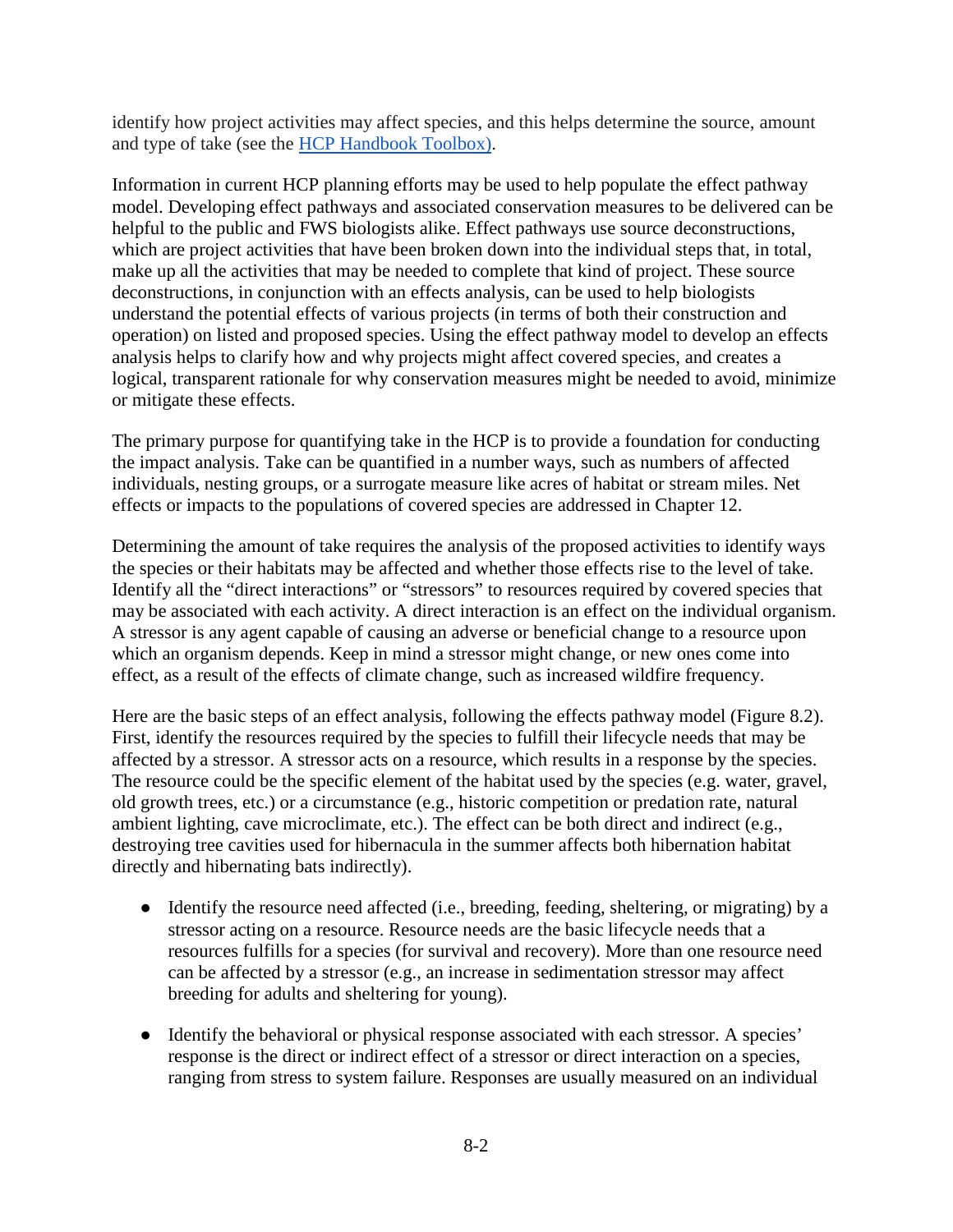identify how project activities may affect species, and this helps determine the source, amount and type of take (see the [HCP Handbook Toolbox\)](https://www.fws.gov/endangered/what-we-do/hcp-handbook-toolbox.html#Ch8).

Information in current HCP planning efforts may be used to help populate the effect pathway model. Developing effect pathways and associated conservation measures to be delivered can be helpful to the public and FWS biologists alike. Effect pathways use source deconstructions, which are project activities that have been broken down into the individual steps that, in total, make up all the activities that may be needed to complete that kind of project. These source deconstructions, in conjunction with an effects analysis, can be used to help biologists understand the potential effects of various projects (in terms of both their construction and operation) on listed and proposed species. Using the effect pathway model to develop an effects analysis helps to clarify how and why projects might affect covered species, and creates a logical, transparent rationale for why conservation measures might be needed to avoid, minimize or mitigate these effects.

The primary purpose for quantifying take in the HCP is to provide a foundation for conducting the impact analysis. Take can be quantified in a number ways, such as numbers of affected individuals, nesting groups, or a surrogate measure like acres of habitat or stream miles. Net effects or impacts to the populations of covered species are addressed in Chapter 12.

Determining the amount of take requires the analysis of the proposed activities to identify ways the species or their habitats may be affected and whether those effects rise to the level of take. Identify all the "direct interactions" or "stressors" to resources required by covered species that may be associated with each activity. A direct interaction is an effect on the individual organism. A stressor is any agent capable of causing an adverse or beneficial change to a resource upon which an organism depends. Keep in mind a stressor might change, or new ones come into effect, as a result of the effects of climate change, such as increased wildfire frequency.

Here are the basic steps of an effect analysis, following the effects pathway model (Figure 8.2). First, identify the resources required by the species to fulfill their lifecycle needs that may be affected by a stressor. A stressor acts on a resource, which results in a response by the species. The resource could be the specific element of the habitat used by the species (e.g. water, gravel, old growth trees, etc.) or a circumstance (e.g., historic competition or predation rate, natural ambient lighting, cave microclimate, etc.). The effect can be both direct and indirect (e.g., destroying tree cavities used for hibernacula in the summer affects both hibernation habitat directly and hibernating bats indirectly).

- Identify the resource need affected (i.e., breeding, feeding, sheltering, or migrating) by a stressor acting on a resource. Resource needs are the basic lifecycle needs that a resources fulfills for a species (for survival and recovery). More than one resource need can be affected by a stressor (e.g., an increase in sedimentation stressor may affect breeding for adults and sheltering for young).
- Identify the behavioral or physical response associated with each stressor. A species' response is the direct or indirect effect of a stressor or direct interaction on a species, ranging from stress to system failure. Responses are usually measured on an individual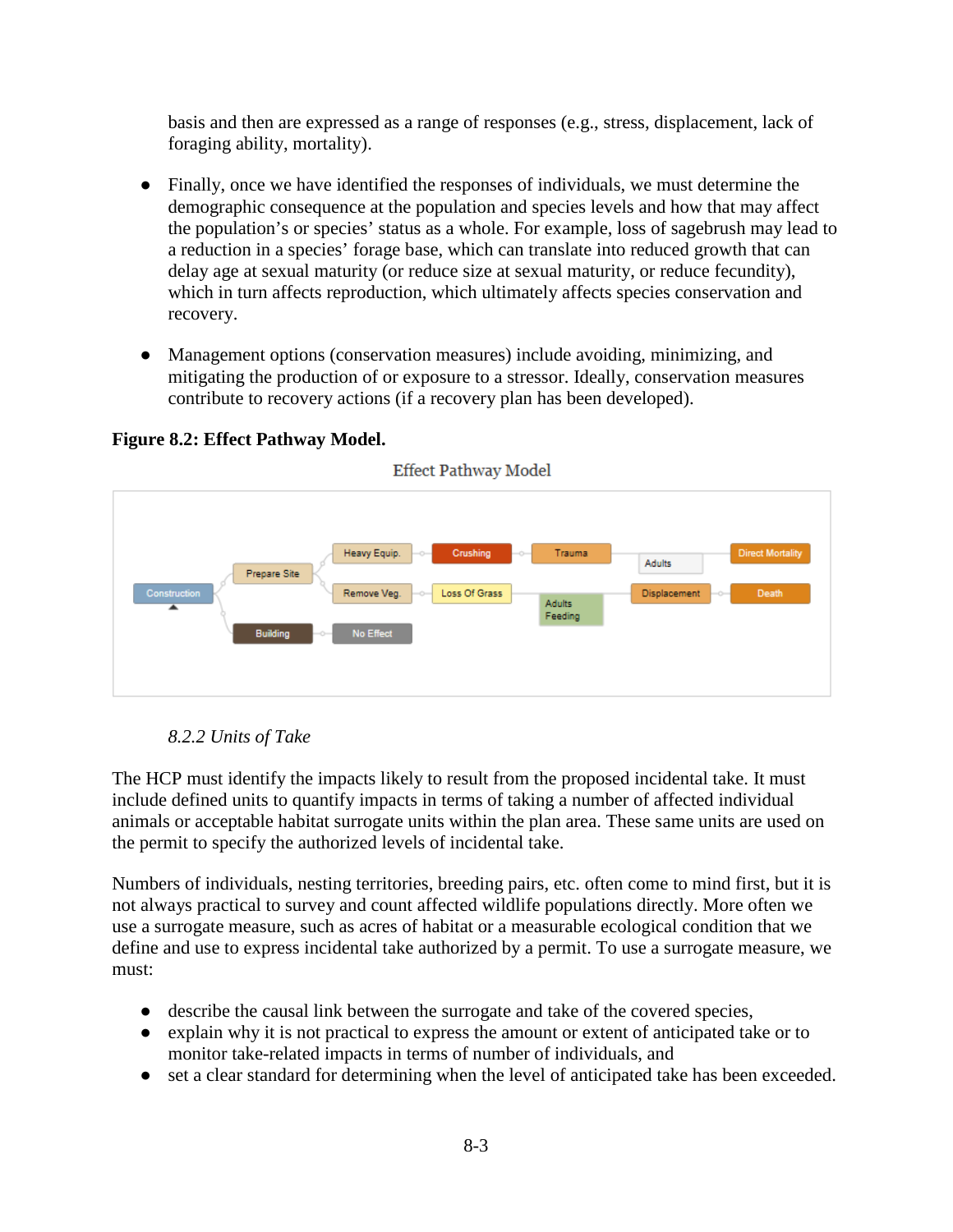basis and then are expressed as a range of responses (e.g., stress, displacement, lack of foraging ability, mortality).

- Finally, once we have identified the responses of individuals, we must determine the demographic consequence at the population and species levels and how that may affect the population's or species' status as a whole. For example, loss of sagebrush may lead to a reduction in a species' forage base, which can translate into reduced growth that can delay age at sexual maturity (or reduce size at sexual maturity, or reduce fecundity), which in turn affects reproduction, which ultimately affects species conservation and recovery.
- Management options (conservation measures) include avoiding, minimizing, and mitigating the production of or exposure to a stressor. Ideally, conservation measures contribute to recovery actions (if a recovery plan has been developed).



**Figure 8.2: Effect Pathway Model.**

*8.2.2 Units of Take*

The HCP must identify the impacts likely to result from the proposed incidental take. It must include defined units to quantify impacts in terms of taking a number of affected individual animals or acceptable habitat surrogate units within the plan area. These same units are used on the permit to specify the authorized levels of incidental take.

Numbers of individuals, nesting territories, breeding pairs, etc. often come to mind first, but it is not always practical to survey and count affected wildlife populations directly. More often we use a surrogate measure, such as acres of habitat or a measurable ecological condition that we define and use to express incidental take authorized by a permit. To use a surrogate measure, we must:

- describe the causal link between the surrogate and take of the covered species,
- explain why it is not practical to express the amount or extent of anticipated take or to monitor take-related impacts in terms of number of individuals, and
- set a clear standard for determining when the level of anticipated take has been exceeded.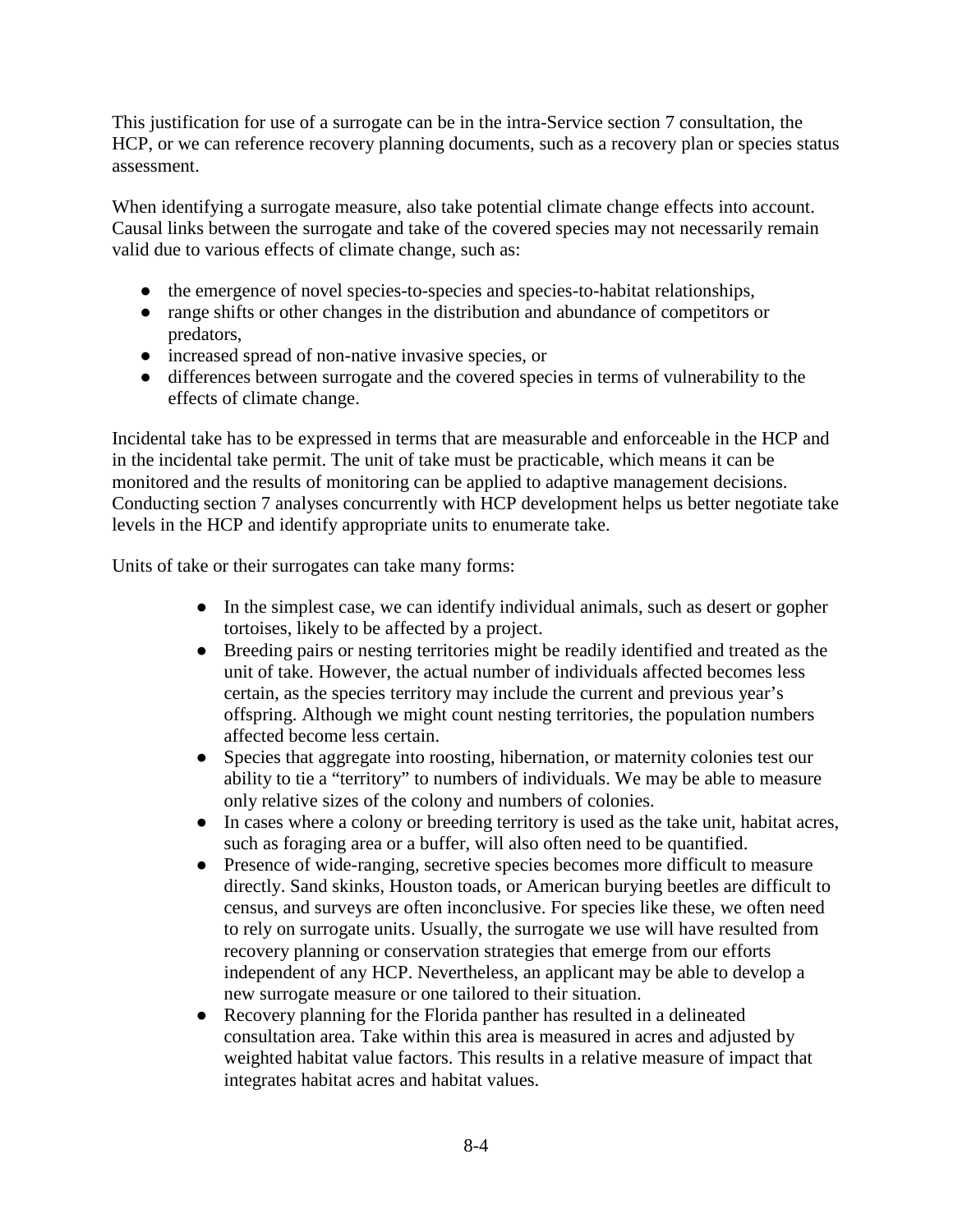This justification for use of a surrogate can be in the intra-Service section 7 consultation, the HCP, or we can reference recovery planning documents, such as a recovery plan or species status assessment.

When identifying a surrogate measure, also take potential climate change effects into account. Causal links between the surrogate and take of the covered species may not necessarily remain valid due to various effects of climate change, such as:

- the emergence of novel species-to-species and species-to-habitat relationships,
- range shifts or other changes in the distribution and abundance of competitors or predators,
- increased spread of non-native invasive species, or
- differences between surrogate and the covered species in terms of vulnerability to the effects of climate change.

Incidental take has to be expressed in terms that are measurable and enforceable in the HCP and in the incidental take permit. The unit of take must be practicable, which means it can be monitored and the results of monitoring can be applied to adaptive management decisions. Conducting section 7 analyses concurrently with HCP development helps us better negotiate take levels in the HCP and identify appropriate units to enumerate take.

Units of take or their surrogates can take many forms:

- In the simplest case, we can identify individual animals, such as desert or gopher tortoises, likely to be affected by a project.
- Breeding pairs or nesting territories might be readily identified and treated as the unit of take. However, the actual number of individuals affected becomes less certain, as the species territory may include the current and previous year's offspring. Although we might count nesting territories, the population numbers affected become less certain.
- Species that aggregate into roosting, hibernation, or maternity colonies test our ability to tie a "territory" to numbers of individuals. We may be able to measure only relative sizes of the colony and numbers of colonies.
- In cases where a colony or breeding territory is used as the take unit, habitat acres, such as foraging area or a buffer, will also often need to be quantified.
- Presence of wide-ranging, secretive species becomes more difficult to measure directly. Sand skinks, Houston toads, or American burying beetles are difficult to census, and surveys are often inconclusive. For species like these, we often need to rely on surrogate units. Usually, the surrogate we use will have resulted from recovery planning or conservation strategies that emerge from our efforts independent of any HCP. Nevertheless, an applicant may be able to develop a new surrogate measure or one tailored to their situation.
- Recovery planning for the Florida panther has resulted in a delineated consultation area. Take within this area is measured in acres and adjusted by weighted habitat value factors. This results in a relative measure of impact that integrates habitat acres and habitat values.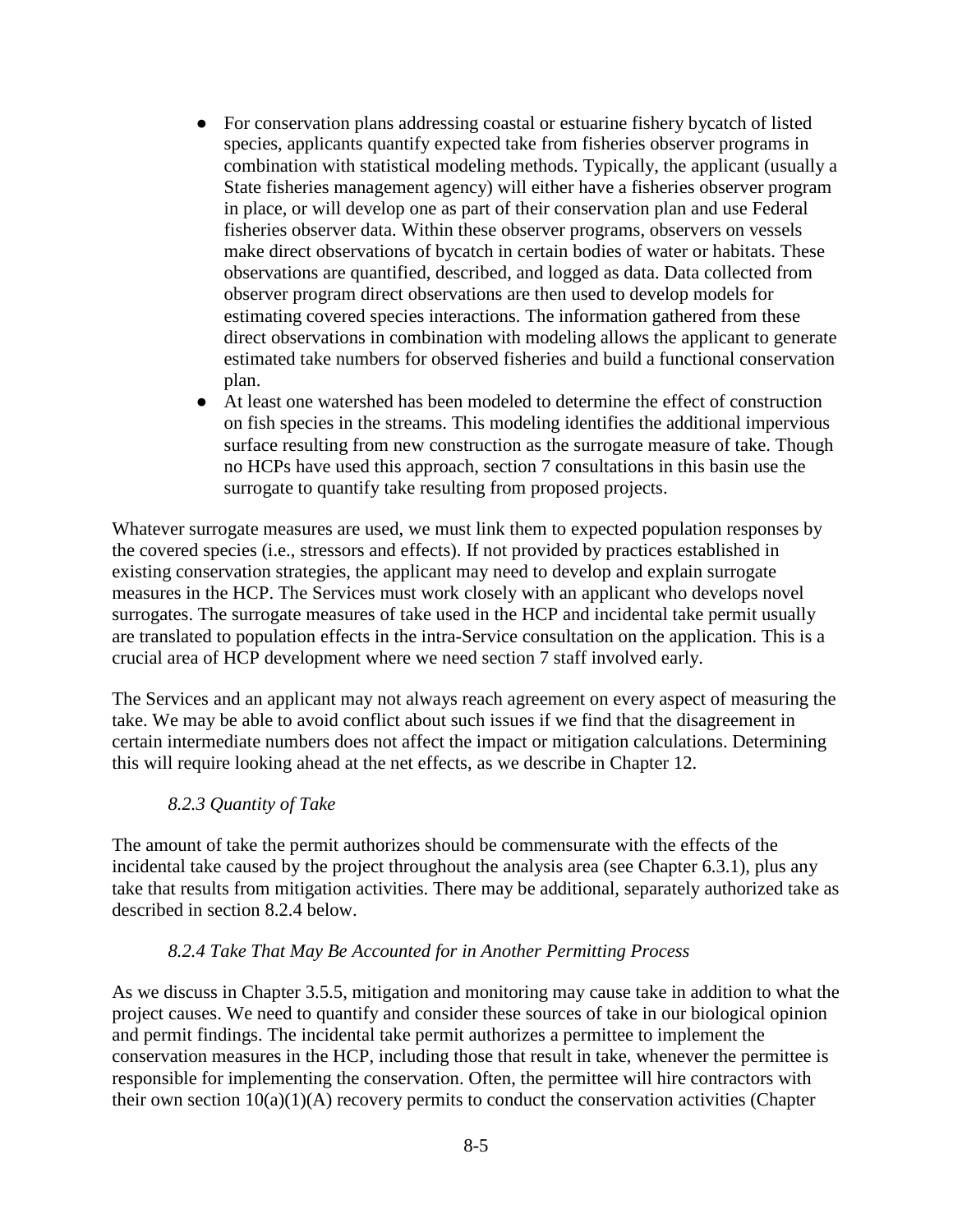- For conservation plans addressing coastal or estuarine fishery bycatch of listed species, applicants quantify expected take from fisheries observer programs in combination with statistical modeling methods. Typically, the applicant (usually a State fisheries management agency) will either have a fisheries observer program in place, or will develop one as part of their conservation plan and use Federal fisheries observer data. Within these observer programs, observers on vessels make direct observations of bycatch in certain bodies of water or habitats. These observations are quantified, described, and logged as data. Data collected from observer program direct observations are then used to develop models for estimating covered species interactions. The information gathered from these direct observations in combination with modeling allows the applicant to generate estimated take numbers for observed fisheries and build a functional conservation plan.
- At least one watershed has been modeled to determine the effect of construction on fish species in the streams. This modeling identifies the additional impervious surface resulting from new construction as the surrogate measure of take. Though no HCPs have used this approach, section 7 consultations in this basin use the surrogate to quantify take resulting from proposed projects.

Whatever surrogate measures are used, we must link them to expected population responses by the covered species (i.e., stressors and effects). If not provided by practices established in existing conservation strategies, the applicant may need to develop and explain surrogate measures in the HCP. The Services must work closely with an applicant who develops novel surrogates. The surrogate measures of take used in the HCP and incidental take permit usually are translated to population effects in the intra-Service consultation on the application. This is a crucial area of HCP development where we need section 7 staff involved early.

The Services and an applicant may not always reach agreement on every aspect of measuring the take. We may be able to avoid conflict about such issues if we find that the disagreement in certain intermediate numbers does not affect the impact or mitigation calculations. Determining this will require looking ahead at the net effects, as we describe in Chapter 12.

#### *8.2.3 Quantity of Take*

The amount of take the permit authorizes should be commensurate with the effects of the incidental take caused by the project throughout the analysis area (see Chapter 6.3.1), plus any take that results from mitigation activities. There may be additional, separately authorized take as described in section 8.2.4 below.

#### *8.2.4 Take That May Be Accounted for in Another Permitting Process*

As we discuss in Chapter 3.5.5, mitigation and monitoring may cause take in addition to what the project causes. We need to quantify and consider these sources of take in our biological opinion and permit findings. The incidental take permit authorizes a permittee to implement the conservation measures in the HCP, including those that result in take, whenever the permittee is responsible for implementing the conservation. Often, the permittee will hire contractors with their own section  $10(a)(1)(A)$  recovery permits to conduct the conservation activities (Chapter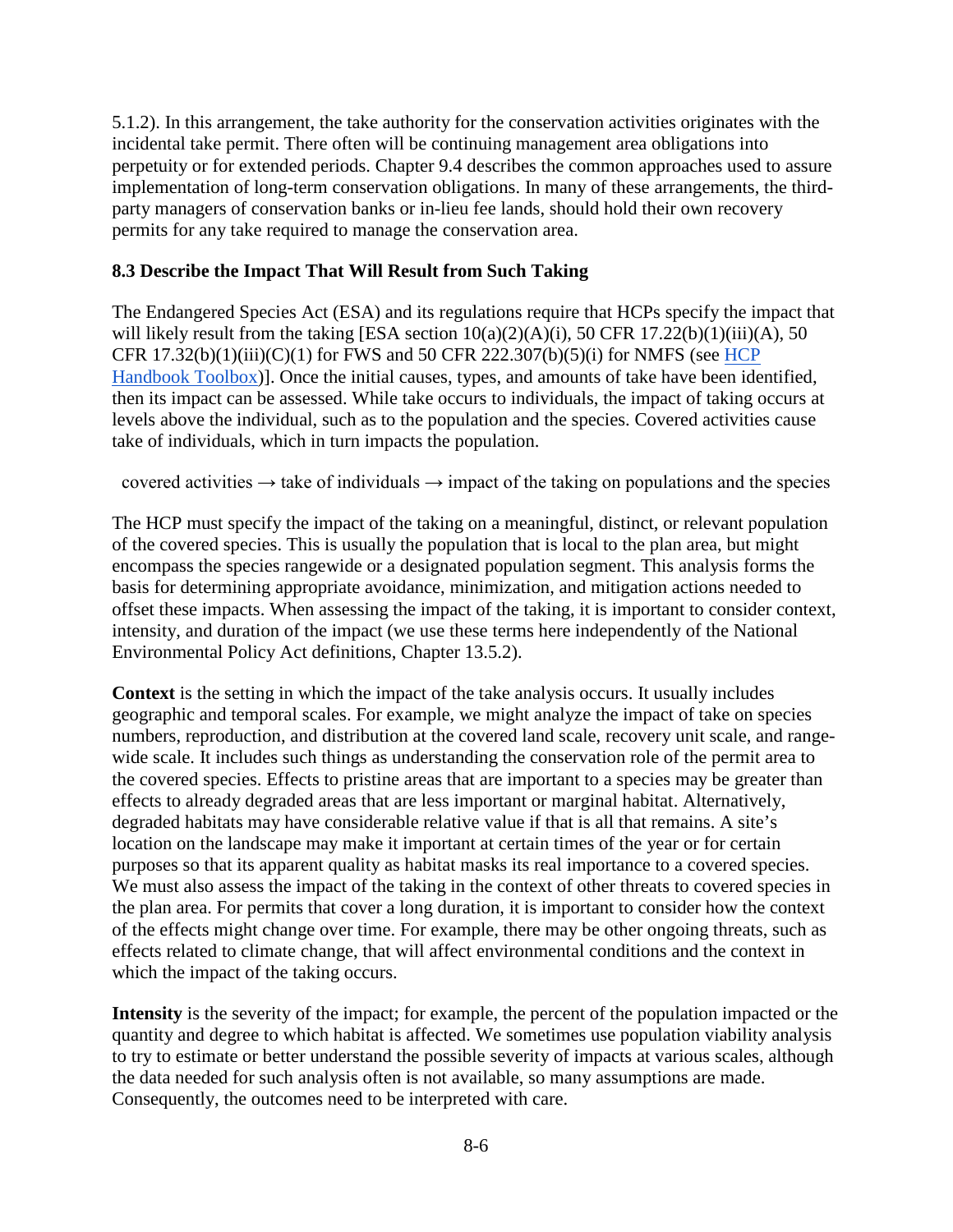5.1.2). In this arrangement, the take authority for the conservation activities originates with the incidental take permit. There often will be continuing management area obligations into perpetuity or for extended periods. Chapter 9.4 describes the common approaches used to assure implementation of long-term conservation obligations. In many of these arrangements, the thirdparty managers of conservation banks or in-lieu fee lands, should hold their own recovery permits for any take required to manage the conservation area.

#### **8.3 Describe the Impact That Will Result from Such Taking**

The Endangered Species Act (ESA) and its regulations require that HCPs specify the impact that will likely result from the taking [ESA section  $10(a)(2)(A)(i)$ , 50 CFR  $17.22(b)(1)(iii)(A)$ , 50 CFR  $17.32(b)(1)(iii)(C)(1)$  for FWS and 50 CFR 222.307(b)(5)(i) for NMFS (see HCP [Handbook Toolbox\)](https://www.fws.gov/endangered/what-we-do/hcp-handbook-toolbox.html#Ch8)]. Once the initial causes, types, and amounts of take have been identified, then its impact can be assessed. While take occurs to individuals, the impact of taking occurs at levels above the individual, such as to the population and the species. Covered activities cause take of individuals, which in turn impacts the population.

covered activities  $\rightarrow$  take of individuals  $\rightarrow$  impact of the taking on populations and the species

The HCP must specify the impact of the taking on a meaningful, distinct, or relevant population of the covered species. This is usually the population that is local to the plan area, but might encompass the species rangewide or a designated population segment. This analysis forms the basis for determining appropriate avoidance, minimization, and mitigation actions needed to offset these impacts. When assessing the impact of the taking, it is important to consider context, intensity, and duration of the impact (we use these terms here independently of the National Environmental Policy Act definitions, Chapter 13.5.2).

**Context** is the setting in which the impact of the take analysis occurs. It usually includes geographic and temporal scales. For example, we might analyze the impact of take on species numbers, reproduction, and distribution at the covered land scale, recovery unit scale, and rangewide scale. It includes such things as understanding the conservation role of the permit area to the covered species. Effects to pristine areas that are important to a species may be greater than effects to already degraded areas that are less important or marginal habitat. Alternatively, degraded habitats may have considerable relative value if that is all that remains. A site's location on the landscape may make it important at certain times of the year or for certain purposes so that its apparent quality as habitat masks its real importance to a covered species. We must also assess the impact of the taking in the context of other threats to covered species in the plan area. For permits that cover a long duration, it is important to consider how the context of the effects might change over time. For example, there may be other ongoing threats, such as effects related to climate change, that will affect environmental conditions and the context in which the impact of the taking occurs.

**Intensity** is the severity of the impact; for example, the percent of the population impacted or the quantity and degree to which habitat is affected. We sometimes use population viability analysis to try to estimate or better understand the possible severity of impacts at various scales, although the data needed for such analysis often is not available, so many assumptions are made. Consequently, the outcomes need to be interpreted with care.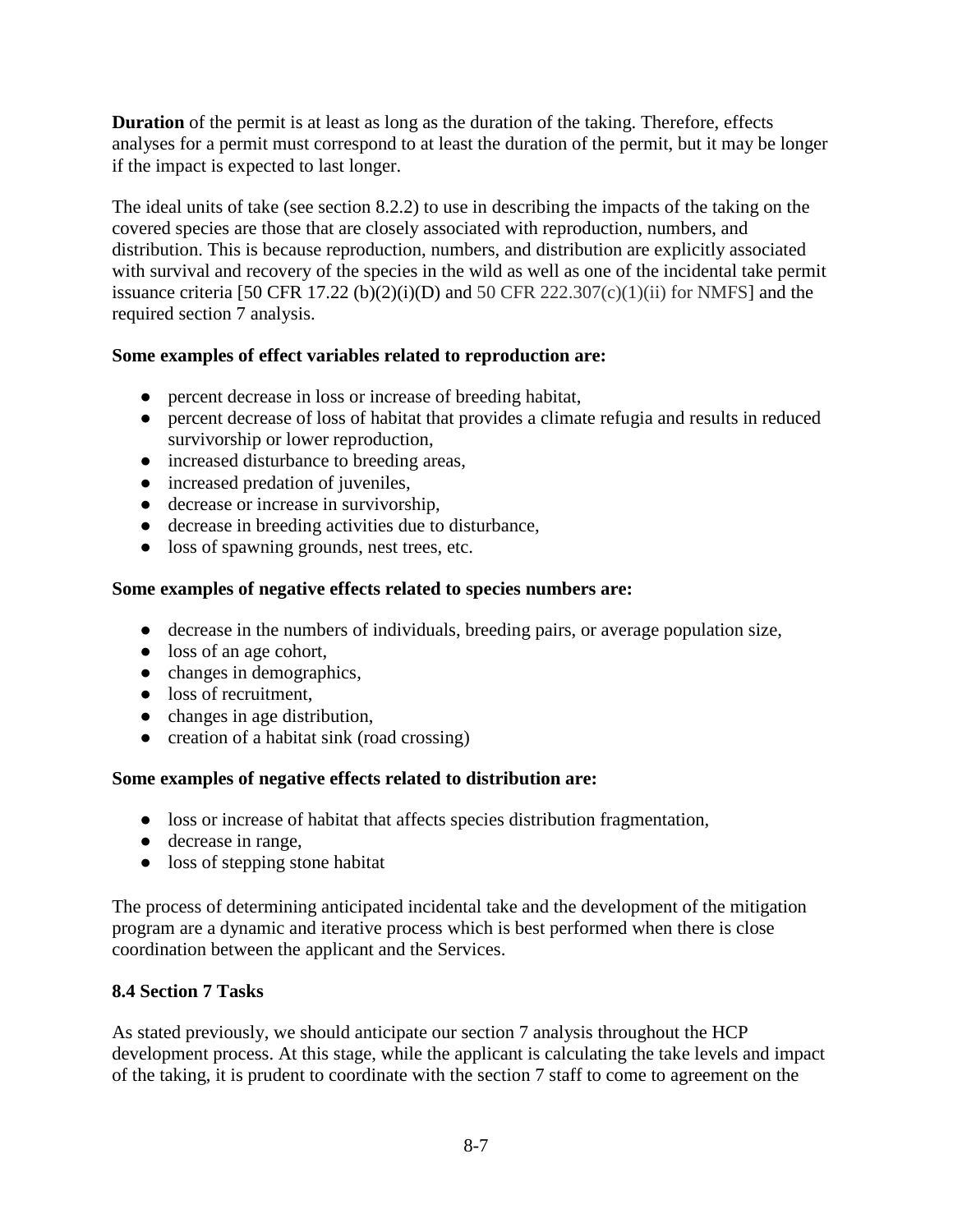**Duration** of the permit is at least as long as the duration of the taking. Therefore, effects analyses for a permit must correspond to at least the duration of the permit, but it may be longer if the impact is expected to last longer.

The ideal units of take (see section 8.2.2) to use in describing the impacts of the taking on the covered species are those that are closely associated with reproduction, numbers, and distribution. This is because reproduction, numbers, and distribution are explicitly associated with survival and recovery of the species in the wild as well as one of the incidental take permit issuance criteria [50 CFR 17.22 (b)(2)(i)(D) and 50 CFR 222.307(c)(1)(ii) for NMFS] and the required section 7 analysis.

## **Some examples of effect variables related to reproduction are:**

- percent decrease in loss or increase of breeding habitat,
- percent decrease of loss of habitat that provides a climate refugia and results in reduced survivorship or lower reproduction,
- increased disturbance to breeding areas,
- increased predation of juveniles,
- decrease or increase in survivorship,
- decrease in breeding activities due to disturbance.
- loss of spawning grounds, nest trees, etc.

#### **Some examples of negative effects related to species numbers are:**

- decrease in the numbers of individuals, breeding pairs, or average population size,
- loss of an age cohort,
- changes in demographics,
- loss of recruitment.
- changes in age distribution,
- creation of a habitat sink (road crossing)

## **Some examples of negative effects related to distribution are:**

- loss or increase of habitat that affects species distribution fragmentation,
- decrease in range,
- loss of stepping stone habitat

The process of determining anticipated incidental take and the development of the mitigation program are a dynamic and iterative process which is best performed when there is close coordination between the applicant and the Services.

## **8.4 Section 7 Tasks**

As stated previously, we should anticipate our section 7 analysis throughout the HCP development process. At this stage, while the applicant is calculating the take levels and impact of the taking, it is prudent to coordinate with the section 7 staff to come to agreement on the